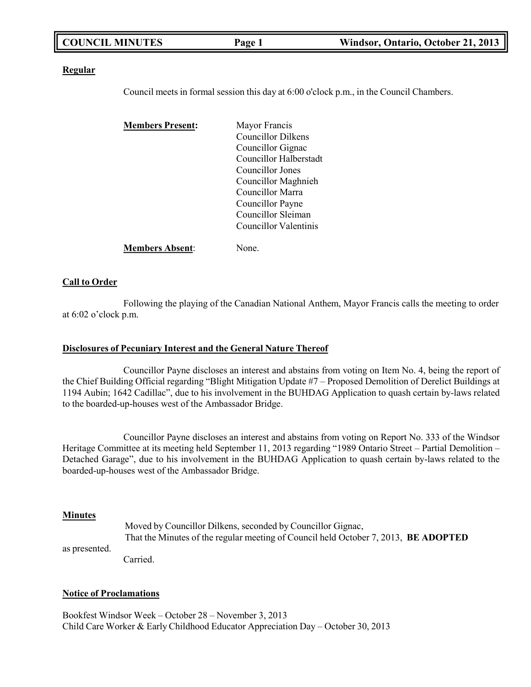| <b>COUNCIL MINUTES</b><br>Windsor, Ontario, October 21, 2013<br>Page 1 |
|------------------------------------------------------------------------|
|------------------------------------------------------------------------|

#### **Regular**

Council meets in formal session this day at 6:00 o'clock p.m., in the Council Chambers.

| <b>Members Present:</b> | Mayor Francis             |
|-------------------------|---------------------------|
|                         | <b>Councillor Dilkens</b> |
|                         | Councillor Gignac         |
|                         | Councillor Halberstadt    |
|                         | Councillor Jones          |
|                         | Councillor Maghnieh       |
|                         | Councillor Marra          |
|                         | Councillor Payne          |
|                         | Councillor Sleiman        |
|                         | Councillor Valentinis     |
| <b>Members Absent:</b>  | None.                     |

#### **Call to Order**

Following the playing of the Canadian National Anthem, Mayor Francis calls the meeting to order at 6:02 o'clock p.m.

#### **Disclosures of Pecuniary Interest and the General Nature Thereof**

Councillor Payne discloses an interest and abstains from voting on Item No. 4, being the report of the Chief Building Official regarding "Blight Mitigation Update #7 – Proposed Demolition of Derelict Buildings at 1194 Aubin; 1642 Cadillac", due to his involvement in the BUHDAG Application to quash certain by-laws related to the boarded-up-houses west of the Ambassador Bridge.

Councillor Payne discloses an interest and abstains from voting on Report No. 333 of the Windsor Heritage Committee at its meeting held September 11, 2013 regarding "1989 Ontario Street – Partial Demolition – Detached Garage", due to his involvement in the BUHDAG Application to quash certain by-laws related to the boarded-up-houses west of the Ambassador Bridge.

#### **Minutes**

as presented.

Moved by Councillor Dilkens, seconded by Councillor Gignac, That the Minutes of the regular meeting of Council held October 7, 2013, **BE ADOPTED** Carried.

## **Notice of Proclamations**

Bookfest Windsor Week – October 28 – November 3, 2013 Child Care Worker & Early Childhood Educator Appreciation Day – October 30, 2013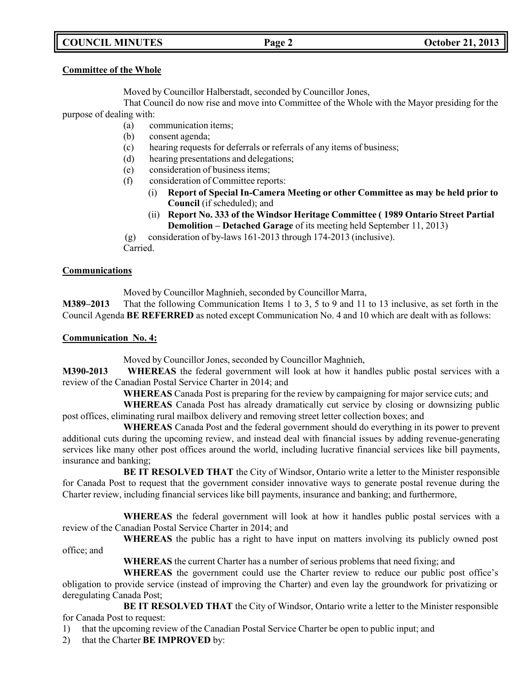# **COUNCIL MINUTES Page 2 October 21, 2013**

### **Committee of the Whole**

Moved by Councillor Halberstadt, seconded by Councillor Jones,

That Council do now rise and move into Committee of the Whole with the Mayor presiding for the purpose of dealing with:

- (a) communication items;
- (b) consent agenda;
- (c) hearing requests for deferrals or referrals of any items of business;
- (d) hearing presentations and delegations;
- (e) consideration of business items;
- (f) consideration of Committee reports:
	- (i) **Report of Special In-Camera Meeting or other Committee as may be held prior to Council** (if scheduled); and
	- (ii) **Report No. 333 of the Windsor Heritage Committee ( 1989 Ontario Street Partial Demolition – Detached Garage** of its meeting held September 11, 2013)
- (g) consideration of by-laws 161-2013 through 174-2013 (inclusive).

Carried.

### **Communications**

Moved by Councillor Maghnieh, seconded by Councillor Marra,

**M389–2013** That the following Communication Items 1 to 3, 5 to 9 and 11 to 13 inclusive, as set forth in the Council Agenda **BE REFERRED** as noted except Communication No. 4 and 10 which are dealt with as follows:

### **Communication No. 4:**

Moved by Councillor Jones, seconded by Councillor Maghnieh,

**M390-2013 WHEREAS** the federal government will look at how it handles public postal services with a review of the Canadian Postal Service Charter in 2014; and

**WHEREAS** Canada Post is preparing for the review by campaigning for major service cuts; and

**WHEREAS** Canada Post has already dramatically cut service by closing or downsizing public post offices, eliminating rural mailbox delivery and removing street letter collection boxes; and

**WHEREAS** Canada Post and the federal government should do everything in its power to prevent additional cuts during the upcoming review, and instead deal with financial issues by adding revenue-generating services like many other post offices around the world, including lucrative financial services like bill payments, insurance and banking;

**BE IT RESOLVED THAT** the City of Windsor, Ontario write a letter to the Minister responsible for Canada Post to request that the government consider innovative ways to generate postal revenue during the Charter review, including financial services like bill payments, insurance and banking; and furthermore,

**WHEREAS** the federal government will look at how it handles public postal services with a review of the Canadian Postal Service Charter in 2014; and

**WHEREAS** the public has a right to have input on matters involving its publicly owned post office; and

**WHEREAS** the current Charter has a number of serious problems that need fixing; and

**WHEREAS** the government could use the Charter review to reduce our public post office's obligation to provide service (instead of improving the Charter) and even lay the groundwork for privatizing or deregulating Canada Post;

**BE IT RESOLVED THAT** the City of Windsor, Ontario write a letter to the Minister responsible for Canada Post to request:

1) that the upcoming review of the Canadian Postal Service Charter be open to public input; and

2) that the Charter **BE IMPROVED** by: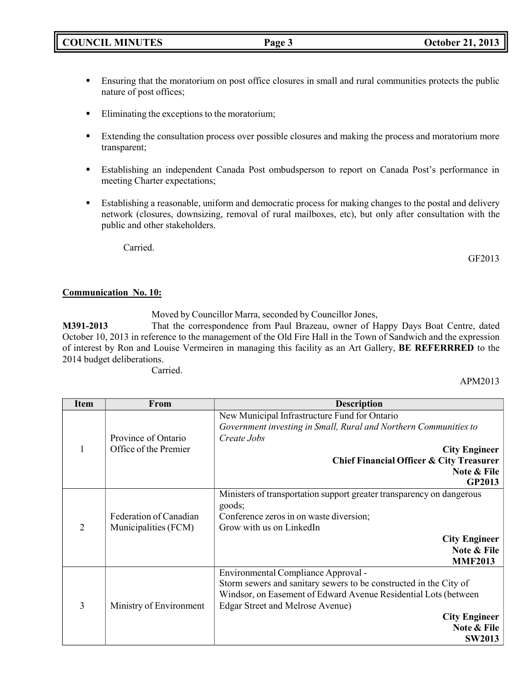## **•** Ensuring that the moratorium on post office closures in small and rural communities protects the public nature of post offices;

- Eliminating the exceptions to the moratorium;
- Extending the consultation process over possible closures and making the process and moratorium more transparent;
- **Establishing an independent Canada Post ombudsperson to report on Canada Post's performance in** meeting Charter expectations;
- Establishing a reasonable, uniform and democratic process for making changes to the postal and delivery network (closures, downsizing, removal of rural mailboxes, etc), but only after consultation with the public and other stakeholders.

Carried.

GF2013

### **Communication No. 10:**

Moved by Councillor Marra, seconded by Councillor Jones,

**M391-2013** That the correspondence from Paul Brazeau, owner of Happy Days Boat Centre, dated October 10, 2013 in reference to the management of the Old Fire Hall in the Town of Sandwich and the expression of interest by Ron and Louise Vermeiren in managing this facility as an Art Gallery, **BE REFERRRED** to the 2014 budget deliberations.

Carried.

APM2013

| <b>Item</b>    | From                    | <b>Description</b>                                                    |
|----------------|-------------------------|-----------------------------------------------------------------------|
|                |                         | New Municipal Infrastructure Fund for Ontario                         |
|                |                         | Government investing in Small, Rural and Northern Communities to      |
|                | Province of Ontario     | Create Jobs                                                           |
| 1              | Office of the Premier   | <b>City Engineer</b>                                                  |
|                |                         | Chief Financial Officer & City Treasurer                              |
|                |                         | Note & File                                                           |
|                |                         | <b>GP2013</b>                                                         |
|                |                         | Ministers of transportation support greater transparency on dangerous |
|                |                         | goods;                                                                |
| $\overline{2}$ | Federation of Canadian  | Conference zeros in on waste diversion;                               |
|                | Municipalities (FCM)    | Grow with us on LinkedIn                                              |
|                |                         | <b>City Engineer</b>                                                  |
|                |                         | Note & File                                                           |
|                |                         | <b>MMF2013</b>                                                        |
|                |                         | Environmental Compliance Approval -                                   |
|                |                         | Storm sewers and sanitary sewers to be constructed in the City of     |
|                |                         | Windsor, on Easement of Edward Avenue Residential Lots (between       |
| 3              | Ministry of Environment | <b>Edgar Street and Melrose Avenue)</b>                               |
|                |                         | <b>City Engineer</b>                                                  |
|                |                         | Note & File                                                           |
|                |                         | <b>SW2013</b>                                                         |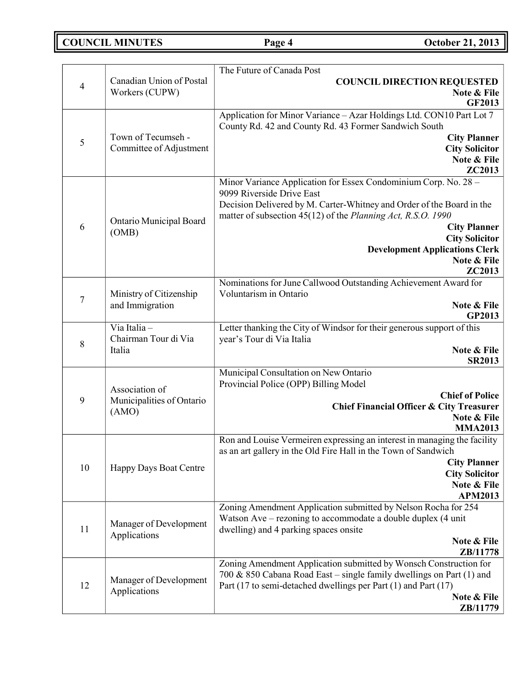**COUNCIL MINUTES Page 4 October 21, 2013**

|                                                                          |                                                                                                     | The Future of Canada Post                                                                             |
|--------------------------------------------------------------------------|-----------------------------------------------------------------------------------------------------|-------------------------------------------------------------------------------------------------------|
| $\overline{4}$                                                           | Canadian Union of Postal                                                                            | <b>COUNCIL DIRECTION REQUESTED</b>                                                                    |
|                                                                          | Workers (CUPW)                                                                                      | Note & File                                                                                           |
|                                                                          |                                                                                                     | <b>GF2013</b>                                                                                         |
|                                                                          |                                                                                                     | Application for Minor Variance - Azar Holdings Ltd. CON10 Part Lot 7                                  |
|                                                                          | Town of Tecumseh -                                                                                  | County Rd. 42 and County Rd. 43 Former Sandwich South<br><b>City Planner</b>                          |
| 5                                                                        | Committee of Adjustment                                                                             | <b>City Solicitor</b>                                                                                 |
|                                                                          |                                                                                                     | Note & File                                                                                           |
|                                                                          |                                                                                                     | <b>ZC2013</b>                                                                                         |
|                                                                          |                                                                                                     | Minor Variance Application for Essex Condominium Corp. No. 28 -                                       |
|                                                                          |                                                                                                     | 9099 Riverside Drive East                                                                             |
|                                                                          |                                                                                                     | Decision Delivered by M. Carter-Whitney and Order of the Board in the                                 |
|                                                                          | Ontario Municipal Board                                                                             | matter of subsection 45(12) of the Planning Act, R.S.O. 1990                                          |
| 6                                                                        | (OMB)                                                                                               | <b>City Planner</b><br><b>City Solicitor</b>                                                          |
|                                                                          |                                                                                                     | <b>Development Applications Clerk</b>                                                                 |
|                                                                          |                                                                                                     | Note & File                                                                                           |
|                                                                          | ZC2013                                                                                              |                                                                                                       |
|                                                                          |                                                                                                     | Nominations for June Callwood Outstanding Achievement Award for                                       |
| $\tau$                                                                   | Ministry of Citizenship                                                                             | Voluntarism in Ontario                                                                                |
| and Immigration                                                          | Note & File                                                                                         |                                                                                                       |
|                                                                          |                                                                                                     | <b>GP2013</b>                                                                                         |
| Via Italia-<br>Chairman Tour di Via<br>8<br>Italia                       | Letter thanking the City of Windsor for their generous support of this<br>year's Tour di Via Italia |                                                                                                       |
|                                                                          |                                                                                                     | Note & File                                                                                           |
|                                                                          | <b>SR2013</b>                                                                                       |                                                                                                       |
|                                                                          | Municipal Consultation on New Ontario                                                               |                                                                                                       |
| Association of<br>$\boldsymbol{9}$<br>Municipalities of Ontario<br>(AMO) | Provincial Police (OPP) Billing Model                                                               |                                                                                                       |
|                                                                          |                                                                                                     | <b>Chief of Police</b>                                                                                |
|                                                                          |                                                                                                     | <b>Chief Financial Officer &amp; City Treasurer</b>                                                   |
|                                                                          |                                                                                                     | Note & File<br><b>MMA2013</b>                                                                         |
|                                                                          |                                                                                                     | Ron and Louise Vermeiren expressing an interest in managing the facility                              |
|                                                                          |                                                                                                     | as an art gallery in the Old Fire Hall in the Town of Sandwich                                        |
|                                                                          |                                                                                                     | <b>City Planner</b>                                                                                   |
| 10                                                                       | Happy Days Boat Centre                                                                              | <b>City Solicitor</b>                                                                                 |
|                                                                          |                                                                                                     | Note & File                                                                                           |
|                                                                          |                                                                                                     | <b>APM2013</b>                                                                                        |
| 11                                                                       | Manager of Development                                                                              | Zoning Amendment Application submitted by Nelson Rocha for 254                                        |
|                                                                          |                                                                                                     | Watson Ave - rezoning to accommodate a double duplex (4 unit<br>dwelling) and 4 parking spaces onsite |
|                                                                          | Applications                                                                                        | Note & File                                                                                           |
|                                                                          |                                                                                                     | ZB/11778                                                                                              |
|                                                                          |                                                                                                     | Zoning Amendment Application submitted by Wonsch Construction for                                     |
|                                                                          | Manager of Development                                                                              | 700 & 850 Cabana Road East – single family dwellings on Part (1) and                                  |
| 12                                                                       | Applications                                                                                        | Part (17 to semi-detached dwellings per Part (1) and Part (17)                                        |
|                                                                          |                                                                                                     | Note & File                                                                                           |
|                                                                          |                                                                                                     | ZB/11779                                                                                              |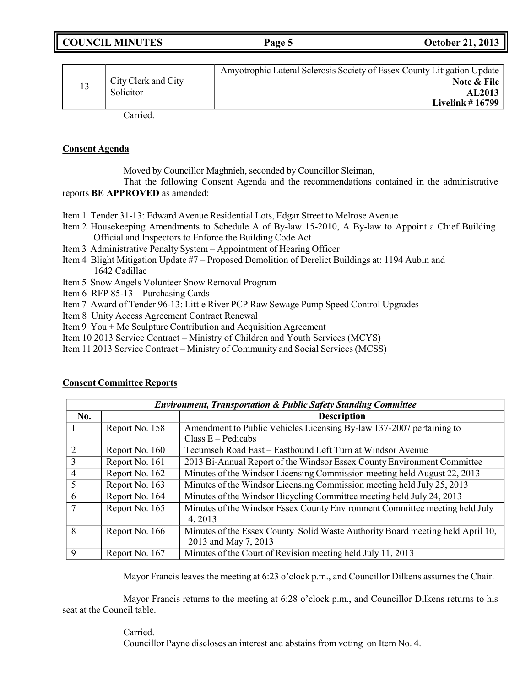| <b>COUNCIL MINUTES</b> | Page 5 | <b>October 21, 2013</b> |
|------------------------|--------|-------------------------|
|                        |        |                         |

| City Clerk and City<br>Solicitor | Amyotrophic Lateral Sclerosis Society of Essex County Litigation Update<br>Note & File<br>AL2013<br>Livelink $\#$ 16799 |
|----------------------------------|-------------------------------------------------------------------------------------------------------------------------|
| $\sim$ $\sim$ 1                  |                                                                                                                         |

Carried.

#### **Consent Agenda**

Moved by Councillor Maghnieh, seconded by Councillor Sleiman,

That the following Consent Agenda and the recommendations contained in the administrative reports **BE APPROVED** as amended:

- Item 1 Tender 31-13: Edward Avenue Residential Lots, Edgar Street to Melrose Avenue
- Item 2 Housekeeping Amendments to Schedule A of By-law 15-2010, A By-law to Appoint a Chief Building Official and Inspectors to Enforce the Building Code Act
- Item 3 Administrative Penalty System Appointment of Hearing Officer
- Item 4 Blight Mitigation Update #7 Proposed Demolition of Derelict Buildings at: 1194 Aubin and 1642 Cadillac
- Item 5 Snow Angels Volunteer Snow Removal Program
- Item 6 RFP 85-13 Purchasing Cards
- Item 7 Award of Tender 96-13: Little River PCP Raw Sewage Pump Speed Control Upgrades
- Item 8 Unity Access Agreement Contract Renewal
- Item 9 You + Me Sculpture Contribution and Acquisition Agreement
- Item 10 2013 Service Contract Ministry of Children and Youth Services (MCYS)
- Item 11 2013 Service Contract Ministry of Community and Social Services (MCSS)

| <b>Environment, Transportation &amp; Public Safety Standing Committee</b> |                |                                                                                                        |
|---------------------------------------------------------------------------|----------------|--------------------------------------------------------------------------------------------------------|
| No.                                                                       |                | <b>Description</b>                                                                                     |
|                                                                           | Report No. 158 | Amendment to Public Vehicles Licensing By-law 137-2007 pertaining to                                   |
|                                                                           |                | Class $E -$ Pedicabs                                                                                   |
|                                                                           | Report No. 160 | Tecumseh Road East - Eastbound Left Turn at Windsor Avenue                                             |
|                                                                           | Report No. 161 | 2013 Bi-Annual Report of the Windsor Essex County Environment Committee                                |
| 4                                                                         | Report No. 162 | Minutes of the Windsor Licensing Commission meeting held August 22, 2013                               |
|                                                                           | Report No. 163 | Minutes of the Windsor Licensing Commission meeting held July 25, 2013                                 |
| 6                                                                         | Report No. 164 | Minutes of the Windsor Bicycling Committee meeting held July 24, 2013                                  |
|                                                                           | Report No. 165 | Minutes of the Windsor Essex County Environment Committee meeting held July<br>4, 2013                 |
| 8                                                                         | Report No. 166 | Minutes of the Essex County Solid Waste Authority Board meeting held April 10,<br>2013 and May 7, 2013 |
| 9                                                                         | Report No. 167 | Minutes of the Court of Revision meeting held July 11, 2013                                            |

#### **Consent Committee Reports**

Mayor Francis leaves the meeting at 6:23 o'clock p.m., and Councillor Dilkens assumes the Chair.

Mayor Francis returns to the meeting at 6:28 o'clock p.m., and Councillor Dilkens returns to his seat at the Council table.

### Carried.

Councillor Payne discloses an interest and abstains from voting on Item No. 4.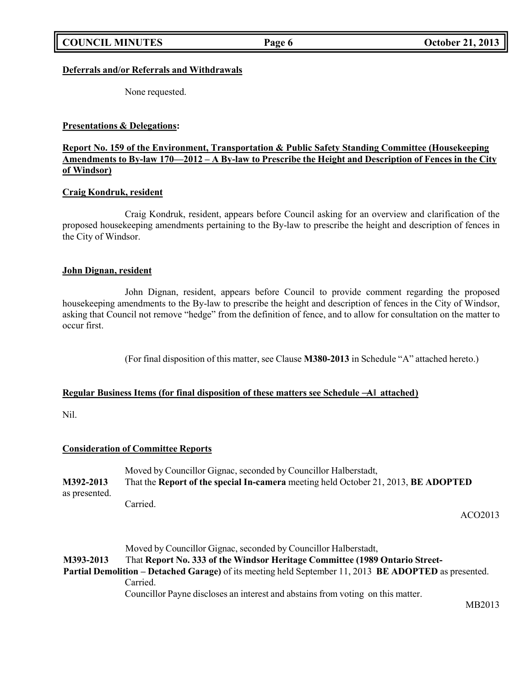### **Deferrals and/or Referrals and Withdrawals**

None requested.

#### **Presentations & Delegations:**

## **Report No. 159 of the Environment, Transportation & Public Safety Standing Committee (Housekeeping** Amendments to By-law  $170-2012-A$  By-law to Prescribe the Height and Description of Fences in the City **of Windsor)**

#### **Craig Kondruk, resident**

Craig Kondruk, resident, appears before Council asking for an overview and clarification of the proposed housekeeping amendments pertaining to the By-law to prescribe the height and description of fences in the City of Windsor.

#### **John Dignan, resident**

John Dignan, resident, appears before Council to provide comment regarding the proposed housekeeping amendments to the By-law to prescribe the height and description of fences in the City of Windsor, asking that Council not remove "hedge" from the definition of fence, and to allow for consultation on the matter to occur first.

(For final disposition of this matter, see Clause **M380-2013** in Schedule "A" attached hereto.)

### **Regular Business Items (for final disposition of these matters see Schedule ―A‖ attached)**

Nil.

### **Consideration of Committee Reports**

| M392-2013<br>as presented. | Moved by Councillor Gignac, seconded by Councillor Halberstadt,<br>That the Report of the special In-camera meeting held October 21, 2013, BE ADOPTED |
|----------------------------|-------------------------------------------------------------------------------------------------------------------------------------------------------|
|                            | Carried.<br>ACO2013                                                                                                                                   |
|                            |                                                                                                                                                       |
|                            | Moved by Councillor Gignac, seconded by Councillor Halberstadt,                                                                                       |
| M393-2013                  | That Report No. 333 of the Windsor Heritage Committee (1989 Ontario Street-                                                                           |
|                            | Partial Demolition – Detached Garage) of its meeting held September 11, 2013 BE ADOPTED as presented.                                                 |
|                            | Carried.                                                                                                                                              |
|                            | Councillor Payne discloses an interest and abstains from voting on this matter.                                                                       |

MB2013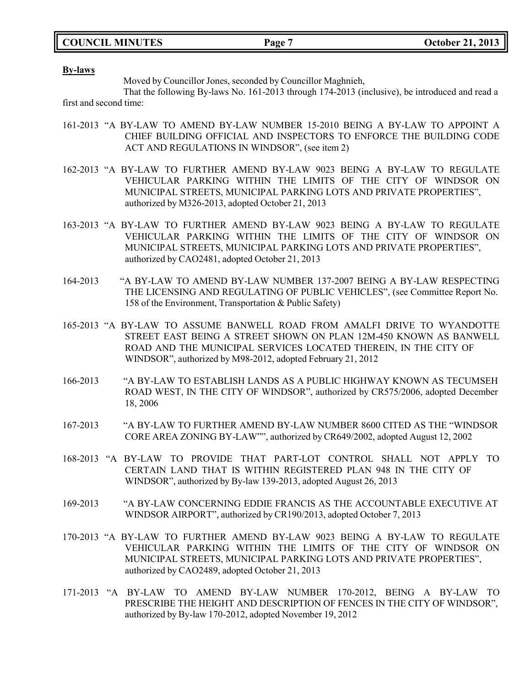#### **By-laws**

Moved by Councillor Jones, seconded by Councillor Maghnieh,

That the following By-laws No. 161-2013 through 174-2013 (inclusive), be introduced and read a first and second time:

- 161-2013 "A BY-LAW TO AMEND BY-LAW NUMBER 15-2010 BEING A BY-LAW TO APPOINT A CHIEF BUILDING OFFICIAL AND INSPECTORS TO ENFORCE THE BUILDING CODE ACT AND REGULATIONS IN WINDSOR", (see item 2)
- 162-2013 "A BY-LAW TO FURTHER AMEND BY-LAW 9023 BEING A BY-LAW TO REGULATE VEHICULAR PARKING WITHIN THE LIMITS OF THE CITY OF WINDSOR ON MUNICIPAL STREETS, MUNICIPAL PARKING LOTS AND PRIVATE PROPERTIES", authorized by M326-2013, adopted October 21, 2013
- 163-2013 "A BY-LAW TO FURTHER AMEND BY-LAW 9023 BEING A BY-LAW TO REGULATE VEHICULAR PARKING WITHIN THE LIMITS OF THE CITY OF WINDSOR ON MUNICIPAL STREETS, MUNICIPAL PARKING LOTS AND PRIVATE PROPERTIES", authorized by CAO2481, adopted October 21, 2013
- 164-2013 "A BY-LAW TO AMEND BY-LAW NUMBER 137-2007 BEING A BY-LAW RESPECTING THE LICENSING AND REGULATING OF PUBLIC VEHICLES", (see Committee Report No. 158 of the Environment, Transportation & Public Safety)
- 165-2013 "A BY-LAW TO ASSUME BANWELL ROAD FROM AMALFI DRIVE TO WYANDOTTE STREET EAST BEING A STREET SHOWN ON PLAN 12M-450 KNOWN AS BANWELL ROAD AND THE MUNICIPAL SERVICES LOCATED THEREIN, IN THE CITY OF WINDSOR", authorized by M98-2012, adopted February 21, 2012
- 166-2013 "A BY-LAW TO ESTABLISH LANDS AS A PUBLIC HIGHWAY KNOWN AS TECUMSEH ROAD WEST, IN THE CITY OF WINDSOR", authorized by CR575/2006, adopted December 18, 2006
- 167-2013 "A BY-LAW TO FURTHER AMEND BY-LAW NUMBER 8600 CITED AS THE "WINDSOR CORE AREA ZONING BY-LAW"", authorized by CR649/2002, adopted August 12, 2002
- 168-2013 "A BY-LAW TO PROVIDE THAT PART-LOT CONTROL SHALL NOT APPLY TO CERTAIN LAND THAT IS WITHIN REGISTERED PLAN 948 IN THE CITY OF WINDSOR", authorized by By-law 139-2013, adopted August 26, 2013
- 169-2013 "A BY-LAW CONCERNING EDDIE FRANCIS AS THE ACCOUNTABLE EXECUTIVE AT WINDSOR AIRPORT", authorized by CR190/2013, adopted October 7, 2013
- 170-2013 "A BY-LAW TO FURTHER AMEND BY-LAW 9023 BEING A BY-LAW TO REGULATE VEHICULAR PARKING WITHIN THE LIMITS OF THE CITY OF WINDSOR ON MUNICIPAL STREETS, MUNICIPAL PARKING LOTS AND PRIVATE PROPERTIES", authorized by CAO2489, adopted October 21, 2013
- 171-2013 "A BY-LAW TO AMEND BY-LAW NUMBER 170-2012, BEING A BY-LAW TO PRESCRIBE THE HEIGHT AND DESCRIPTION OF FENCES IN THE CITY OF WINDSOR", authorized by By-law 170-2012, adopted November 19, 2012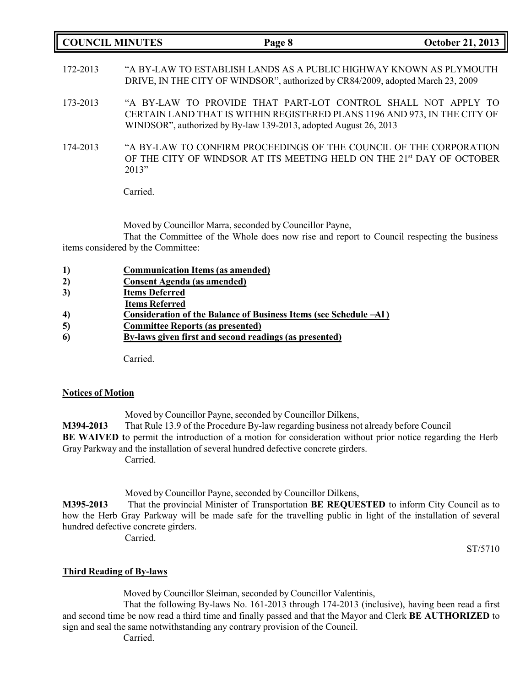| <b>COUNCIL MINUTES</b> |          | Page 8                                                                                                                                                                                                         | <b>October 21, 2013</b> |
|------------------------|----------|----------------------------------------------------------------------------------------------------------------------------------------------------------------------------------------------------------------|-------------------------|
| 172-2013               |          | "A BY-LAW TO ESTABLISH LANDS AS A PUBLIC HIGHWAY KNOWN AS PLYMOUTH<br>DRIVE, IN THE CITY OF WINDSOR", authorized by CR84/2009, adopted March 23, 2009                                                          |                         |
| 173-2013               |          | "A BY-LAW TO PROVIDE THAT PART-LOT CONTROL SHALL NOT APPLY TO<br>CERTAIN LAND THAT IS WITHIN REGISTERED PLANS 1196 AND 973, IN THE CITY OF<br>WINDSOR", authorized by By-law 139-2013, adopted August 26, 2013 |                         |
| 174-2013               | 2013"    | "A BY-LAW TO CONFIRM PROCEEDINGS OF THE COUNCIL OF THE CORPORATION<br>OF THE CITY OF WINDSOR AT ITS MEETING HELD ON THE 21st DAY OF OCTOBER                                                                    |                         |
|                        | Carried. |                                                                                                                                                                                                                |                         |

Moved by Councillor Marra, seconded by Councillor Payne,

That the Committee of the Whole does now rise and report to Council respecting the business items considered by the Committee:

| 1)               | <b>Communication Items (as amended)</b>                             |
|------------------|---------------------------------------------------------------------|
| 2)               | <b>Consent Agenda (as amended)</b>                                  |
| 3)               | <b>Items Deferred</b>                                               |
|                  | <b>Items Referred</b>                                               |
| $\boldsymbol{4}$ | Consideration of the Balance of Business Items (see Schedule $-A$ ) |
| 5)               | <b>Committee Reports (as presented)</b>                             |
| 6                | By-laws given first and second readings (as presented)              |
|                  |                                                                     |

Carried.

## **Notices of Motion**

Moved by Councillor Payne, seconded by Councillor Dilkens, **M394-2013** That Rule 13.9 of the Procedure By-law regarding business not already before Council **BE** WAIVED to permit the introduction of a motion for consideration without prior notice regarding the Herb Gray Parkway and the installation of several hundred defective concrete girders. Carried.

Moved by Councillor Payne, seconded by Councillor Dilkens,

**M395-2013** That the provincial Minister of Transportation **BE REQUESTED** to inform City Council as to how the Herb Gray Parkway will be made safe for the travelling public in light of the installation of several hundred defective concrete girders. Carried.

ST/5710

## **Third Reading of By-laws**

Moved by Councillor Sleiman, seconded by Councillor Valentinis,

That the following By-laws No. 161-2013 through 174-2013 (inclusive), having been read a first and second time be now read a third time and finally passed and that the Mayor and Clerk **BE AUTHORIZED** to sign and seal the same notwithstanding any contrary provision of the Council.

Carried.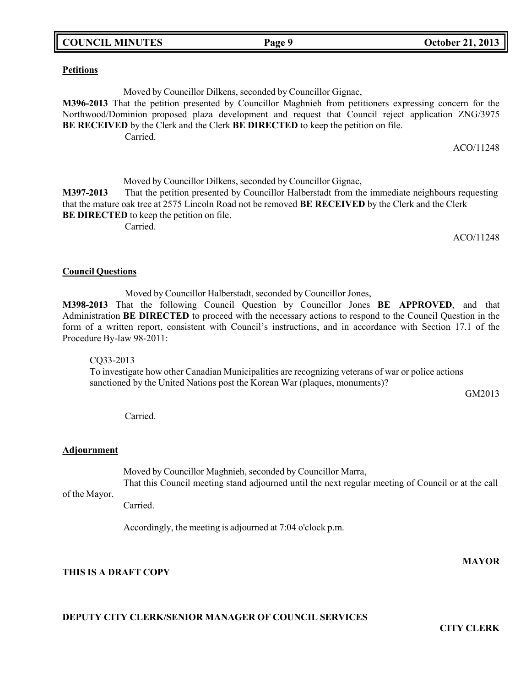**Petitions**

Moved by Councillor Dilkens, seconded by Councillor Gignac,

**M396-2013** That the petition presented by Councillor Maghnieh from petitioners expressing concern for the Northwood/Dominion proposed plaza development and request that Council reject application ZNG/3975 **BE RECEIVED** by the Clerk and the Clerk **BE DIRECTED** to keep the petition on file. Carried.

ACO/11248

ACO/11248

Moved by Councillor Dilkens, seconded by Councillor Gignac, **M397-2013** That the petition presented by Councillor Halberstadt from the immediate neighbours requesting that the mature oak tree at 2575 Lincoln Road not be removed **BE RECEIVED** by the Clerk and the Clerk **BE DIRECTED** to keep the petition on file.

Carried.

# **Council Questions**

Moved by Councillor Halberstadt, seconded by Councillor Jones,

**M398-2013** That the following Council Question by Councillor Jones **BE APPROVED**, and that Administration **BE DIRECTED** to proceed with the necessary actions to respond to the Council Question in the form of a written report, consistent with Council's instructions, and in accordance with Section 17.1 of the Procedure By-law 98-2011:

CQ33-2013

To investigate how other Canadian Municipalities are recognizing veterans of war or police actions sanctioned by the United Nations post the Korean War (plaques, monuments)?

GM2013

Carried.

## **Adjournment**

Moved by Councillor Maghnieh, seconded by Councillor Marra, That this Council meeting stand adjourned until the next regular meeting of Council or at the call

of the Mayor. Carried.

Accordingly, the meeting is adjourned at 7:04 o'clock p.m.

**THIS IS A DRAFT COPY**

## **MAYOR**

**CITY CLERK**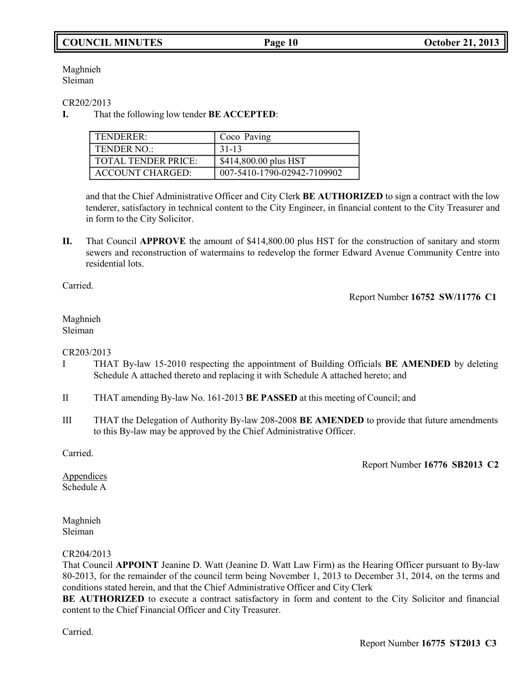# **COUNCIL MINUTES Page 10 October 21, 2013**

Maghnieh Sleiman

CR202/2013

**I.** That the following low tender **BE ACCEPTED**:

| TENDERER:                  | Coco Paving                 |
|----------------------------|-----------------------------|
| <b>TENDER NO:</b>          | 31-13                       |
| <b>TOTAL TENDER PRICE:</b> | \$414,800.00 plus HST       |
| ACCOUNT CHARGED:           | 007-5410-1790-02942-7109902 |

and that the Chief Administrative Officer and City Clerk **BE AUTHORIZED** to sign a contract with the low tenderer, satisfactory in technical content to the City Engineer, in financial content to the City Treasurer and in form to the City Solicitor.

**II.** That Council **APPROVE** the amount of \$414,800.00 plus HST for the construction of sanitary and storm sewers and reconstruction of watermains to redevelop the former Edward Avenue Community Centre into residential lots.

Carried.

Report Number **16752 SW/11776 C1**

#### Maghnieh Sleiman

CR203/2013

- I THAT By-law 15-2010 respecting the appointment of Building Officials **BE AMENDED** by deleting Schedule A attached thereto and replacing it with Schedule A attached hereto; and
- II THAT amending By-law No. 161-2013 **BE PASSED** at this meeting of Council; and
- III THAT the Delegation of Authority By-law 208-2008 **BE AMENDED** to provide that future amendments to this By-law may be approved by the Chief Administrative Officer.

Carried.

Report Number **16776 SB2013 C2**

Appendices Schedule A

Maghnieh Sleiman

### CR204/2013

That Council **APPOINT** Jeanine D. Watt (Jeanine D. Watt Law Firm) as the Hearing Officer pursuant to By-law 80-2013, for the remainder of the council term being November 1, 2013 to December 31, 2014, on the terms and conditions stated herein, and that the Chief Administrative Officer and City Clerk

**BE AUTHORIZED** to execute a contract satisfactory in form and content to the City Solicitor and financial content to the Chief Financial Officer and City Treasurer.

Carried.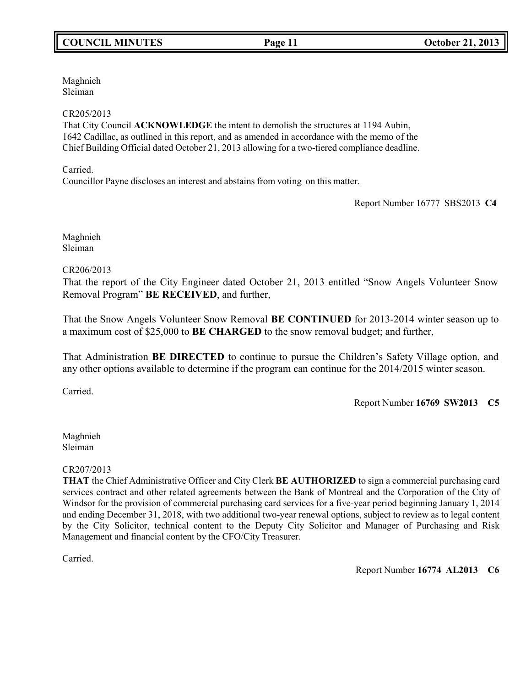Maghnieh Sleiman

## CR205/2013

That City Council **ACKNOWLEDGE** the intent to demolish the structures at 1194 Aubin, 1642 Cadillac, as outlined in this report, and as amended in accordance with the memo of the Chief Building Official dated October 21, 2013 allowing for a two-tiered compliance deadline.

Carried.

Councillor Payne discloses an interest and abstains from voting on this matter.

Report Number 16777 SBS2013 **C4**

Maghnieh Sleiman

## CR206/2013

That the report of the City Engineer dated October 21, 2013 entitled "Snow Angels Volunteer Snow Removal Program" **BE RECEIVED**, and further,

That the Snow Angels Volunteer Snow Removal **BE CONTINUED** for 2013-2014 winter season up to a maximum cost of \$25,000 to **BE CHARGED** to the snow removal budget; and further,

That Administration **BE DIRECTED** to continue to pursue the Children's Safety Village option, and any other options available to determine if the program can continue for the 2014/2015 winter season.

Carried.

Report Number **16769 SW2013 C5**

Maghnieh Sleiman

CR207/2013

**THAT** the Chief Administrative Officer and City Clerk **BE AUTHORIZED** to sign a commercial purchasing card services contract and other related agreements between the Bank of Montreal and the Corporation of the City of Windsor for the provision of commercial purchasing card services for a five-year period beginning January 1, 2014 and ending December 31, 2018, with two additional two-year renewal options, subject to review as to legal content by the City Solicitor, technical content to the Deputy City Solicitor and Manager of Purchasing and Risk Management and financial content by the CFO/City Treasurer.

Carried.

Report Number **16774 AL2013 C6**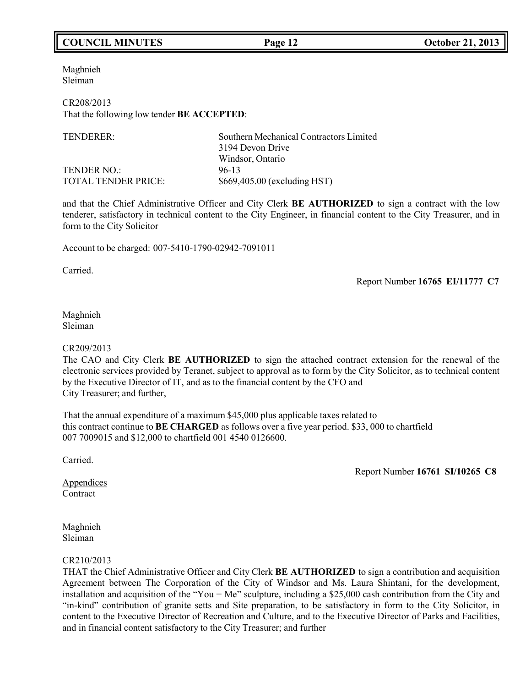# **COUNCIL MINUTES Page 12 October 21, 2013**

Maghnieh Sleiman

CR208/2013 That the following low tender **BE ACCEPTED**:

| TENDERER:           | Southern Mechanical Contractors Limited |
|---------------------|-----------------------------------------|
|                     | 3194 Devon Drive                        |
|                     | Windsor, Ontario                        |
| <b>TENDER NO.:</b>  | 96-13                                   |
| TOTAL TENDER PRICE: | \$669,405.00 (excluding HST)            |

and that the Chief Administrative Officer and City Clerk **BE AUTHORIZED** to sign a contract with the low tenderer, satisfactory in technical content to the City Engineer, in financial content to the City Treasurer, and in form to the City Solicitor

Account to be charged: 007-5410-1790-02942-7091011

Carried.

Report Number **16765 EI/11777 C7**

#### Maghnieh Sleiman

#### CR209/2013

The CAO and City Clerk **BE AUTHORIZED** to sign the attached contract extension for the renewal of the electronic services provided by Teranet, subject to approval as to form by the City Solicitor, as to technical content by the Executive Director of IT, and as to the financial content by the CFO and City Treasurer; and further,

That the annual expenditure of a maximum \$45,000 plus applicable taxes related to this contract continue to **BE CHARGED** as follows over a five year period. \$33, 000 to chartfield 007 7009015 and \$12,000 to chartfield 001 4540 0126600.

Carried.

Report Number **16761 SI/10265 C8**

Appendices **Contract** 

Maghnieh Sleiman

#### CR210/2013

THAT the Chief Administrative Officer and City Clerk **BE AUTHORIZED** to sign a contribution and acquisition Agreement between The Corporation of the City of Windsor and Ms. Laura Shintani, for the development, installation and acquisition of the "You + Me" sculpture, including a \$25,000 cash contribution from the City and "in-kind" contribution of granite setts and Site preparation, to be satisfactory in form to the City Solicitor, in content to the Executive Director of Recreation and Culture, and to the Executive Director of Parks and Facilities, and in financial content satisfactory to the City Treasurer; and further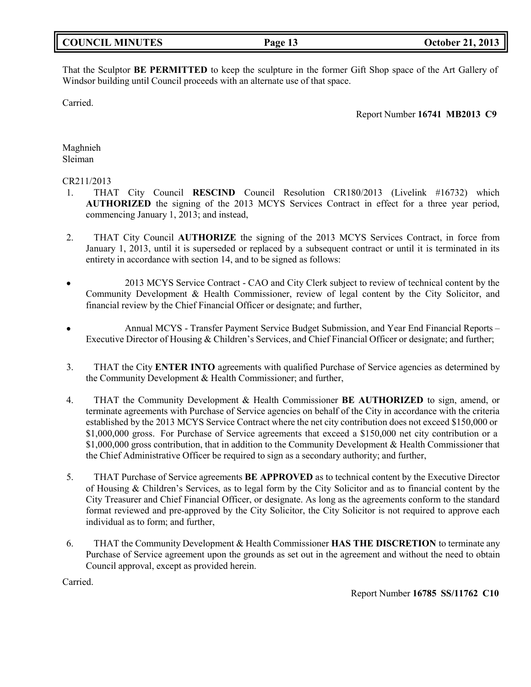| <b>COUNCIL MINUTES</b> |
|------------------------|
|------------------------|

That the Sculptor **BE PERMITTED** to keep the sculpture in the former Gift Shop space of the Art Gallery of Windsor building until Council proceeds with an alternate use of that space.

Carried.

Report Number **16741 MB2013 C9**

Maghnieh Sleiman

### CR211/2013

- 1. THAT City Council **RESCIND** Council Resolution CR180/2013 (Livelink #16732) which **AUTHORIZED** the signing of the 2013 MCYS Services Contract in effect for a three year period, commencing January 1, 2013; and instead,
- 2. THAT City Council **AUTHORIZE** the signing of the 2013 MCYS Services Contract, in force from January 1, 2013, until it is superseded or replaced by a subsequent contract or until it is terminated in its entirety in accordance with section 14, and to be signed as follows:
- $\bullet$  2013 MCYS Service Contract - CAO and City Clerk subject to review of technical content by the Community Development & Health Commissioner, review of legal content by the City Solicitor, and financial review by the Chief Financial Officer or designate; and further,
- Annual MCYS Transfer Payment Service Budget Submission, and Year End Financial Reports Executive Director of Housing & Children's Services, and Chief Financial Officer or designate; and further;
- 3. THAT the City **ENTER INTO** agreements with qualified Purchase of Service agencies as determined by the Community Development & Health Commissioner; and further,
- 4. THAT the Community Development & Health Commissioner **BE AUTHORIZED** to sign, amend, or terminate agreements with Purchase of Service agencies on behalf of the City in accordance with the criteria established by the 2013 MCYS Service Contract where the net city contribution does not exceed \$150,000 or \$1,000,000 gross. For Purchase of Service agreements that exceed a \$150,000 net city contribution or a \$1,000,000 gross contribution, that in addition to the Community Development & Health Commissioner that the Chief Administrative Officer be required to sign as a secondary authority; and further,
- 5. THAT Purchase of Service agreements **BE APPROVED** as to technical content by the Executive Director of Housing & Children's Services, as to legal form by the City Solicitor and as to financial content by the City Treasurer and Chief Financial Officer, or designate. As long as the agreements conform to the standard format reviewed and pre-approved by the City Solicitor, the City Solicitor is not required to approve each individual as to form; and further,
- 6. THAT the Community Development & Health Commissioner **HAS THE DISCRETION** to terminate any Purchase of Service agreement upon the grounds as set out in the agreement and without the need to obtain Council approval, except as provided herein.

Carried.

Report Number **16785 SS/11762 C10**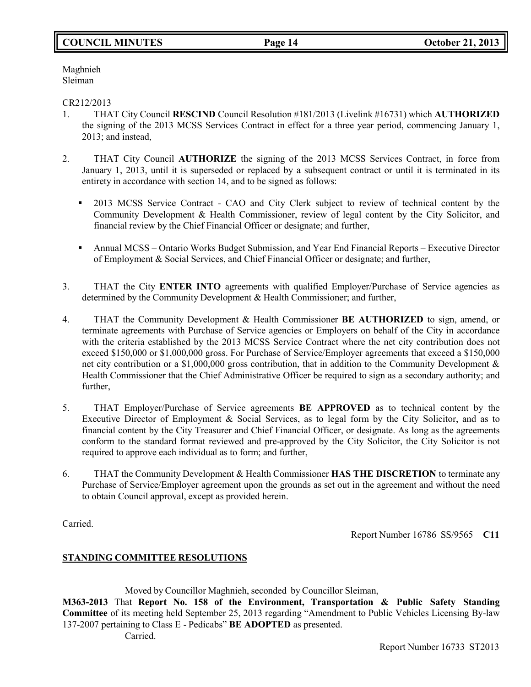# **COUNCIL MINUTES Page 14 October 21, 2013**

Maghnieh Sleiman

#### CR212/2013

- 1. THAT City Council **RESCIND** Council Resolution #181/2013 (Livelink #16731) which **AUTHORIZED** the signing of the 2013 MCSS Services Contract in effect for a three year period, commencing January 1, 2013; and instead,
- 2. THAT City Council **AUTHORIZE** the signing of the 2013 MCSS Services Contract, in force from January 1, 2013, until it is superseded or replaced by a subsequent contract or until it is terminated in its entirety in accordance with section 14, and to be signed as follows:
	- **•** 2013 MCSS Service Contract CAO and City Clerk subject to review of technical content by the Community Development & Health Commissioner, review of legal content by the City Solicitor, and financial review by the Chief Financial Officer or designate; and further,
	- Annual MCSS Ontario Works Budget Submission, and Year End Financial Reports Executive Director of Employment & Social Services, and Chief Financial Officer or designate; and further,
- 3. THAT the City **ENTER INTO** agreements with qualified Employer/Purchase of Service agencies as determined by the Community Development & Health Commissioner; and further,
- 4. THAT the Community Development & Health Commissioner **BE AUTHORIZED** to sign, amend, or terminate agreements with Purchase of Service agencies or Employers on behalf of the City in accordance with the criteria established by the 2013 MCSS Service Contract where the net city contribution does not exceed \$150,000 or \$1,000,000 gross. For Purchase of Service/Employer agreements that exceed a \$150,000 net city contribution or a \$1,000,000 gross contribution, that in addition to the Community Development & Health Commissioner that the Chief Administrative Officer be required to sign as a secondary authority; and further,
- 5. THAT Employer/Purchase of Service agreements **BE APPROVED** as to technical content by the Executive Director of Employment & Social Services, as to legal form by the City Solicitor, and as to financial content by the City Treasurer and Chief Financial Officer, or designate. As long as the agreements conform to the standard format reviewed and pre-approved by the City Solicitor, the City Solicitor is not required to approve each individual as to form; and further,
- 6. THAT the Community Development & Health Commissioner **HAS THE DISCRETION** to terminate any Purchase of Service/Employer agreement upon the grounds as set out in the agreement and without the need to obtain Council approval, except as provided herein.

Carried.

Report Number 16786 SS/9565 **C11**

### **STANDING COMMITTEE RESOLUTIONS**

Moved by Councillor Maghnieh, seconded by Councillor Sleiman, **M363-2013** That **Report No. 158 of the Environment, Transportation & Public Safety Standing Committee** of its meeting held September 25, 2013 regarding "Amendment to Public Vehicles Licensing By-law 137-2007 pertaining to Class E - Pedicabs" **BE ADOPTED** as presented. Carried.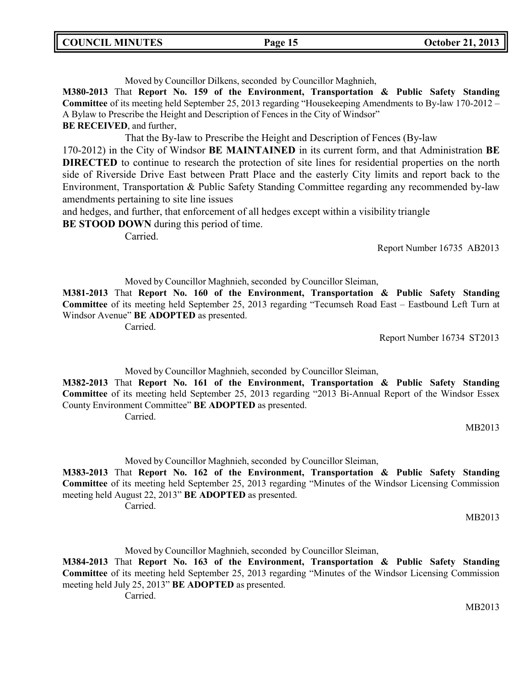### Moved by Councillor Dilkens, seconded by Councillor Maghnieh,

**M380-2013** That **Report No. 159 of the Environment, Transportation & Public Safety Standing Committee** of its meeting held September 25, 2013 regarding "Housekeeping Amendments to By-law 170-2012 – A Bylaw to Prescribe the Height and Description of Fences in the City of Windsor"

**BE RECEIVED**, and further,

That the By-law to Prescribe the Height and Description of Fences (By-law

170-2012) in the City of Windsor **BE MAINTAINED** in its current form, and that Administration **BE DIRECTED** to continue to research the protection of site lines for residential properties on the north side of Riverside Drive East between Pratt Place and the easterly City limits and report back to the Environment, Transportation & Public Safety Standing Committee regarding any recommended by-law amendments pertaining to site line issues

and hedges, and further, that enforcement of all hedges except within a visibility triangle **BE STOOD DOWN** during this period of time.

Carried.

Report Number 16735 AB2013

Moved by Councillor Maghnieh, seconded by Councillor Sleiman,

**M381-2013** That **Report No. 160 of the Environment, Transportation & Public Safety Standing Committee** of its meeting held September 25, 2013 regarding "Tecumseh Road East – Eastbound Left Turn at Windsor Avenue" **BE ADOPTED** as presented.

Carried.

Report Number 16734 ST2013

Moved by Councillor Maghnieh, seconded by Councillor Sleiman,

**M382-2013** That **Report No. 161 of the Environment, Transportation & Public Safety Standing Committee** of its meeting held September 25, 2013 regarding "2013 Bi-Annual Report of the Windsor Essex County Environment Committee" **BE ADOPTED** as presented.

Carried.

MB2013

Moved by Councillor Maghnieh, seconded by Councillor Sleiman,

**M383-2013** That **Report No. 162 of the Environment, Transportation & Public Safety Standing Committee** of its meeting held September 25, 2013 regarding "Minutes of the Windsor Licensing Commission meeting held August 22, 2013" **BE ADOPTED** as presented.

Carried.

MB2013

Moved by Councillor Maghnieh, seconded by Councillor Sleiman,

**M384-2013** That **Report No. 163 of the Environment, Transportation & Public Safety Standing Committee** of its meeting held September 25, 2013 regarding "Minutes of the Windsor Licensing Commission meeting held July 25, 2013" **BE ADOPTED** as presented.

Carried.

MB2013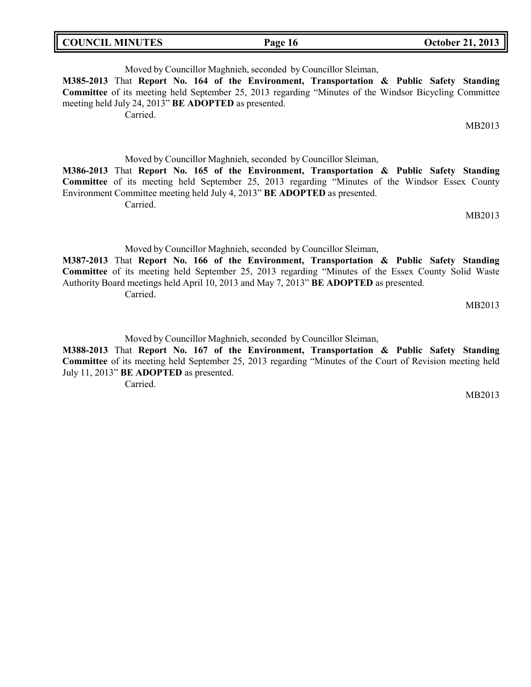| <b>COUNCIL MINUTES</b> | Page 16 | <b>October 21, 2013</b> |
|------------------------|---------|-------------------------|
|                        |         |                         |

Moved by Councillor Maghnieh, seconded by Councillor Sleiman, **M385-2013** That **Report No. 164 of the Environment, Transportation & Public Safety Standing Committee** of its meeting held September 25, 2013 regarding "Minutes of the Windsor Bicycling Committee meeting held July 24, 2013" **BE ADOPTED** as presented. Carried.

MB2013

Moved by Councillor Maghnieh, seconded by Councillor Sleiman,

**M386-2013** That **Report No. 165 of the Environment, Transportation & Public Safety Standing Committee** of its meeting held September 25, 2013 regarding "Minutes of the Windsor Essex County Environment Committee meeting held July 4, 2013" **BE ADOPTED** as presented. Carried.

MB2013

Moved by Councillor Maghnieh, seconded by Councillor Sleiman,

**M387-2013** That **Report No. 166 of the Environment, Transportation & Public Safety Standing Committee** of its meeting held September 25, 2013 regarding "Minutes of the Essex County Solid Waste Authority Board meetings held April 10, 2013 and May 7, 2013" **BE ADOPTED** as presented. Carried.

MB2013

Moved by Councillor Maghnieh, seconded by Councillor Sleiman,

**M388-2013** That **Report No. 167 of the Environment, Transportation & Public Safety Standing Committee** of its meeting held September 25, 2013 regarding "Minutes of the Court of Revision meeting held July 11, 2013" **BE ADOPTED** as presented.

Carried.

MB2013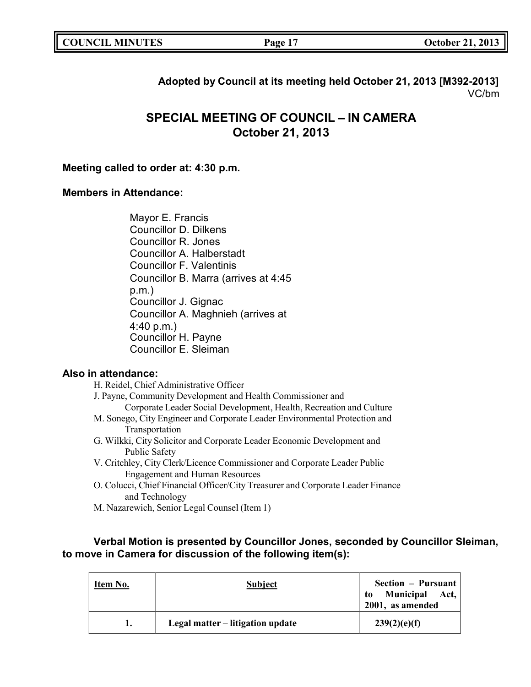| <b>COUNCIL MINUTES</b> | Page: | <b>October 21, 2013</b> |
|------------------------|-------|-------------------------|
|------------------------|-------|-------------------------|

# **Adopted by Council at its meeting held October 21, 2013 [M392-2013]** VC/bm

# **SPECIAL MEETING OF COUNCIL – IN CAMERA October 21, 2013**

## **Meeting called to order at: 4:30 p.m.**

# **Members in Attendance:**

Mayor E. Francis Councillor D. Dilkens Councillor R. Jones Councillor A. Halberstadt Councillor F. Valentinis Councillor B. Marra (arrives at 4:45 p.m.) Councillor J. Gignac Councillor A. Maghnieh (arrives at 4:40 p.m.) Councillor H. Payne Councillor E. Sleiman

# **Also in attendance:**

| H. Reidel, Chief Administrative Officer                                         |
|---------------------------------------------------------------------------------|
| J. Payne, Community Development and Health Commissioner and                     |
| Corporate Leader Social Development, Health, Recreation and Culture             |
| M. Sonego, City Engineer and Corporate Leader Environmental Protection and      |
| Transportation                                                                  |
| G. Wilkki, City Solicitor and Corporate Leader Economic Development and         |
| Public Safety                                                                   |
| V. Critchley, City Clerk/Licence Commissioner and Corporate Leader Public       |
| <b>Engagement and Human Resources</b>                                           |
| O. Colucci, Chief Financial Officer/City Treasurer and Corporate Leader Finance |
| and Technology                                                                  |

M. Nazarewich, Senior Legal Counsel (Item 1)

# **Verbal Motion is presented by Councillor Jones, seconded by Councillor Sleiman, to move in Camera for discussion of the following item(s):**

| Item No. | <b>Subject</b>                   | Section – Pursuant<br>Municipal Act,<br>to<br>2001, as amended |
|----------|----------------------------------|----------------------------------------------------------------|
|          | Legal matter – litigation update | 239(2)(e)(f)                                                   |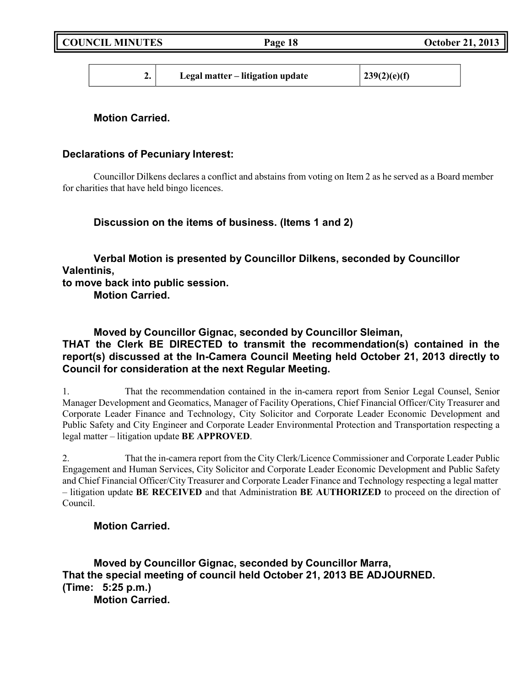| 239(2)(e)(f)<br>Legal matter – litigation update |  |
|--------------------------------------------------|--|
|--------------------------------------------------|--|

# **Motion Carried.**

## **Declarations of Pecuniary Interest:**

Councillor Dilkens declares a conflict and abstains from voting on Item 2 as he served as a Board member for charities that have held bingo licences.

**Discussion on the items of business. (Items 1 and 2)**

**Verbal Motion is presented by Councillor Dilkens, seconded by Councillor Valentinis,**

**to move back into public session. Motion Carried.**

**Moved by Councillor Gignac, seconded by Councillor Sleiman, THAT the Clerk BE DIRECTED to transmit the recommendation(s) contained in the report(s) discussed at the In-Camera Council Meeting held October 21, 2013 directly to Council for consideration at the next Regular Meeting.**

1. That the recommendation contained in the in-camera report from Senior Legal Counsel, Senior Manager Development and Geomatics, Manager of Facility Operations, Chief Financial Officer/City Treasurer and Corporate Leader Finance and Technology, City Solicitor and Corporate Leader Economic Development and Public Safety and City Engineer and Corporate Leader Environmental Protection and Transportation respecting a legal matter – litigation update **BE APPROVED**.

2. That the in-camera report from the City Clerk/Licence Commissioner and Corporate Leader Public Engagement and Human Services, City Solicitor and Corporate Leader Economic Development and Public Safety and Chief Financial Officer/City Treasurer and Corporate Leader Finance and Technology respecting a legal matter – litigation update **BE RECEIVED** and that Administration **BE AUTHORIZED** to proceed on the direction of Council.

# **Motion Carried.**

**Moved by Councillor Gignac, seconded by Councillor Marra, That the special meeting of council held October 21, 2013 BE ADJOURNED. (Time: 5:25 p.m.) Motion Carried.**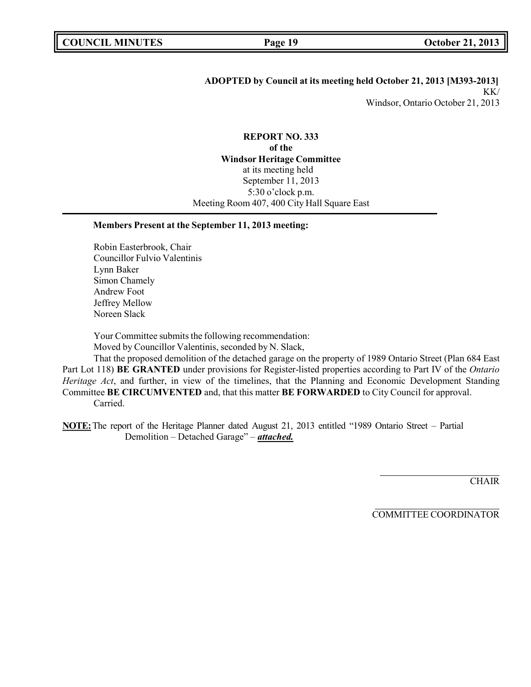### **ADOPTED by Council at its meeting held October 21, 2013 [M393-2013]** KK/ Windsor, Ontario October 21, 2013

### **REPORT NO. 333 of the Windsor Heritage Committee** at its meeting held September 11, 2013 5:30 o'clock p.m. Meeting Room 407, 400 City Hall Square East

#### **Members Present at the September 11, 2013 meeting:**

Robin Easterbrook, Chair Councillor Fulvio Valentinis Lynn Baker Simon Chamely Andrew Foot Jeffrey Mellow Noreen Slack

Your Committee submits the following recommendation: Moved by Councillor Valentinis, seconded by N. Slack,

That the proposed demolition of the detached garage on the property of 1989 Ontario Street (Plan 684 East Part Lot 118) **BE GRANTED** under provisions for Register-listed properties according to Part IV of the *Ontario Heritage Act*, and further, in view of the timelines, that the Planning and Economic Development Standing Committee **BE CIRCUMVENTED** and, that this matter **BE FORWARDED** to City Council for approval. Carried.

**NOTE:**The report of the Heritage Planner dated August 21, 2013 entitled "1989 Ontario Street – Partial Demolition – Detached Garage" – *attached.*

**CHAIR** 

COMMITTEE COORDINATOR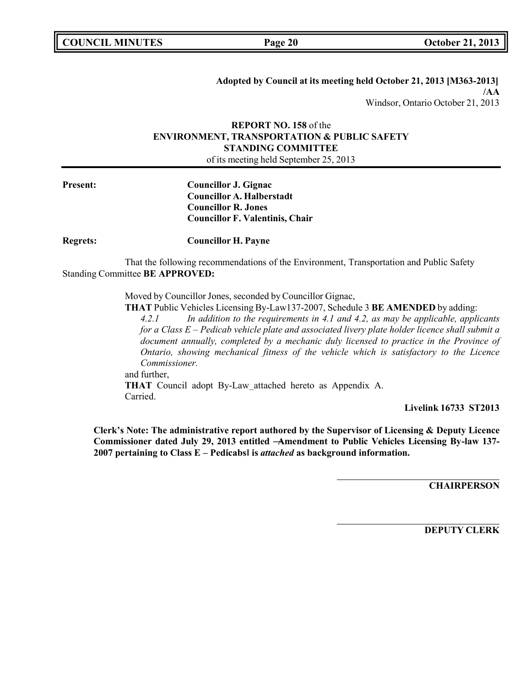**Adopted by Council at its meeting held October 21, 2013 [M363-2013] /AA** Windsor, Ontario October 21, 2013

#### **REPORT NO. 158** of the **ENVIRONMENT, TRANSPORTATION & PUBLIC SAFETY STANDING COMMITTEE** of its meeting held September 25, 2013

**Present: Councillor J. Gignac Councillor A. Halberstadt Councillor R. Jones Councillor F. Valentinis, Chair**

**Regrets: Councillor H. Payne**

That the following recommendations of the Environment, Transportation and Public Safety Standing Committee **BE APPROVED:**

Moved by Councillor Jones, seconded by Councillor Gignac,

**THAT** Public Vehicles Licensing By-Law137-2007, Schedule 3 **BE AMENDED** by adding:

*4.2.1 In addition to the requirements in 4.1 and 4.2, as may be applicable, applicants for a Class E – Pedicab vehicle plate and associated livery plate holder licence shall submit a document annually, completed by a mechanic duly licensed to practice in the Province of Ontario, showing mechanical fitness of the vehicle which is satisfactory to the Licence Commissioner.* and further,

**THAT** Council adopt By-Law attached hereto as Appendix A. Carried.

**Livelink 16733 ST2013**

**Clerk's Note: The administrative report authored by the Supervisor of Licensing & Deputy Licence Commissioner dated July 29, 2013 entitled ―Amendment to Public Vehicles Licensing By-law 137- 2007 pertaining to Class E – Pedicabs‖ is** *attached* **as background information.**

**CHAIRPERSON**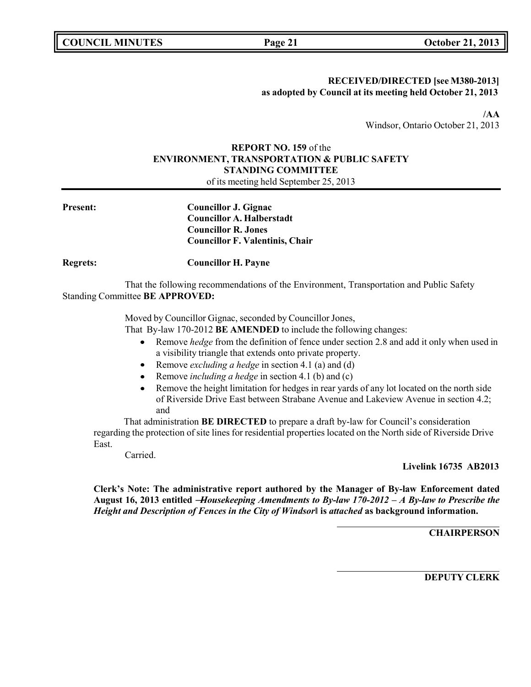## **RECEIVED/DIRECTED [see M380-2013] as adopted by Council at its meeting held October 21, 2013**

**/AA** Windsor, Ontario October 21, 2013

# **REPORT NO. 159** of the **ENVIRONMENT, TRANSPORTATION & PUBLIC SAFETY STANDING COMMITTEE**

of its meeting held September 25, 2013

| <b>Present:</b> | <b>Councillor J. Gignac</b><br><b>Councillor A. Halberstadt</b><br><b>Councillor R. Jones</b><br><b>Councillor F. Valentinis, Chair</b> |
|-----------------|-----------------------------------------------------------------------------------------------------------------------------------------|
| <b>Regrets:</b> | <b>Councillor H. Payne</b>                                                                                                              |
|                 | That the following recommendations of the Environment, Transportation and Public Safety<br>Standing Committee BE APPROVED:              |

Moved by Councillor Gignac, seconded by Councillor Jones,

That By-law 170-2012 **BE AMENDED** to include the following changes:

- Remove *hedge* from the definition of fence under section 2.8 and add it only when used in a visibility triangle that extends onto private property.
- Remove *excluding a hedge* in section 4.1 (a) and (d)  $\bullet$
- Remove *including a hedge* in section 4.1 (b) and (c)  $\bullet$
- Remove the height limitation for hedges in rear yards of any lot located on the north side of Riverside Drive East between Strabane Avenue and Lakeview Avenue in section 4.2; and

That administration **BE DIRECTED** to prepare a draft by-law for Council's consideration regarding the protection of site lines for residential properties located on the North side of Riverside Drive East.

Carried.

**Livelink 16735 AB2013**

**Clerk's Note: The administrative report authored by the Manager of By-law Enforcement dated August 16, 2013 entitled ―***Housekeeping Amendments to By-law 170-2012 – A By-law to Prescribe the Height and Description of Fences in the City of Windsor***‖ is** *attached* **as background information.**

**CHAIRPERSON**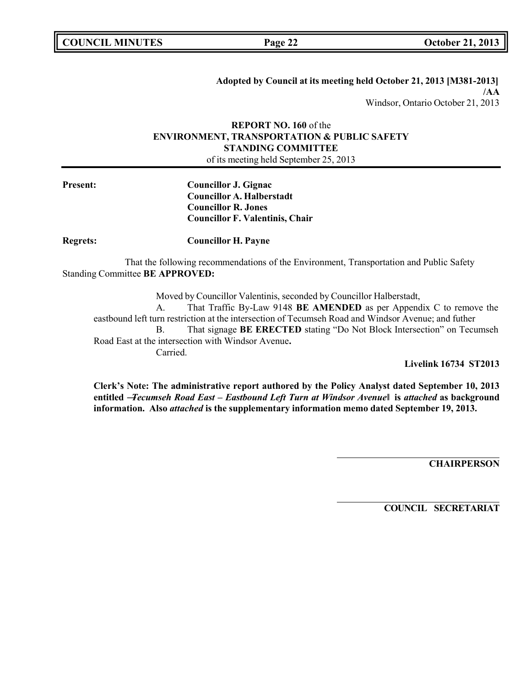**Adopted by Council at its meeting held October 21, 2013 [M381-2013] /AA** Windsor, Ontario October 21, 2013

### **REPORT NO. 160** of the **ENVIRONMENT, TRANSPORTATION & PUBLIC SAFETY STANDING COMMITTEE** of its meeting held September 25, 2013

**Present: Councillor J. Gignac Councillor A. Halberstadt Councillor R. Jones Councillor F. Valentinis, Chair**

**Regrets: Councillor H. Payne**

That the following recommendations of the Environment, Transportation and Public Safety Standing Committee **BE APPROVED:**

Moved by Councillor Valentinis, seconded by Councillor Halberstadt, A. That Traffic By-Law 9148 **BE AMENDED** as per Appendix C to remove the eastbound left turn restriction at the intersection of Tecumseh Road and Windsor Avenue; and futher B. That signage **BE ERECTED** stating "Do Not Block Intersection" on Tecumseh Road East at the intersection with Windsor Avenue**.** Carried.

**Livelink 16734 ST2013**

**Clerk's Note: The administrative report authored by the Policy Analyst dated September 10, 2013 entitled ―***Tecumseh Road East – Eastbound Left Turn at Windsor Avenue***‖ is** *attached* **as background information. Also** *attached* **is the supplementary information memo dated September 19, 2013.**

**CHAIRPERSON**

**COUNCIL SECRETARIAT**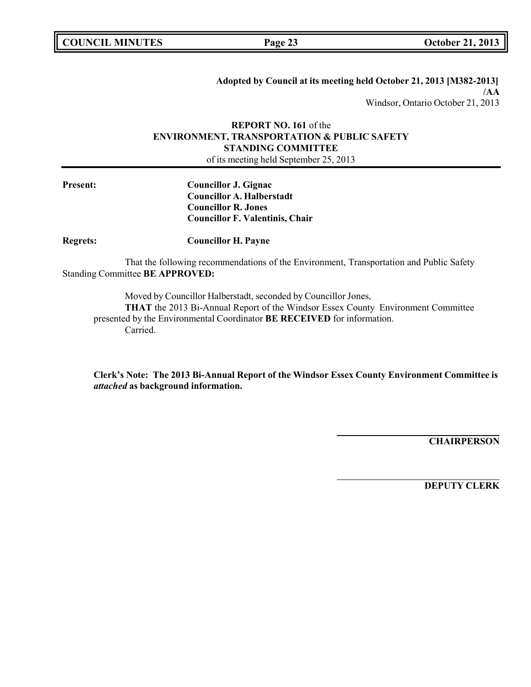**Adopted by Council at its meeting held October 21, 2013 [M382-2013] /AA** Windsor, Ontario October 21, 2013

### **REPORT NO. 161** of the **ENVIRONMENT, TRANSPORTATION & PUBLIC SAFETY STANDING COMMITTEE** of its meeting held September 25, 2013

**Present: Councillor J. Gignac Councillor A. Halberstadt Councillor R. Jones Councillor F. Valentinis, Chair**

**Regrets: Councillor H. Payne**

That the following recommendations of the Environment, Transportation and Public Safety Standing Committee **BE APPROVED:**

Moved by Councillor Halberstadt, seconded by Councillor Jones, **THAT** the 2013 Bi-Annual Report of the Windsor Essex County Environment Committee presented by the Environmental Coordinator **BE RECEIVED** for information. Carried.

**Clerk's Note: The 2013 Bi-Annual Report of the Windsor Essex County Environment Committee is** *attached* **as background information.**

**CHAIRPERSON**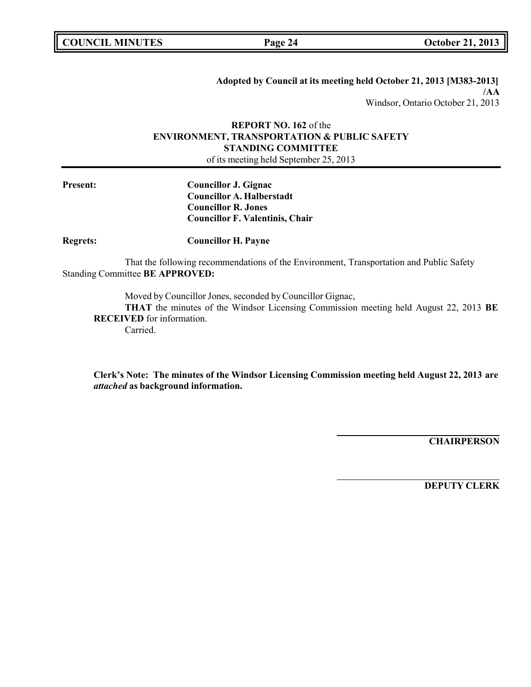**Adopted by Council at its meeting held October 21, 2013 [M383-2013] /AA** Windsor, Ontario October 21, 2013

### **REPORT NO. 162** of the **ENVIRONMENT, TRANSPORTATION & PUBLIC SAFETY STANDING COMMITTEE** of its meeting held September 25, 2013

**Present: Councillor J. Gignac Councillor A. Halberstadt Councillor R. Jones Councillor F. Valentinis, Chair**

**Regrets: Councillor H. Payne**

That the following recommendations of the Environment, Transportation and Public Safety Standing Committee **BE APPROVED:**

Moved by Councillor Jones, seconded by Councillor Gignac,

**THAT** the minutes of the Windsor Licensing Commission meeting held August 22, 2013 **BE RECEIVED** for information.

Carried.

**Clerk's Note: The minutes of the Windsor Licensing Commission meeting held August 22, 2013 are** *attached* **as background information.**

**CHAIRPERSON**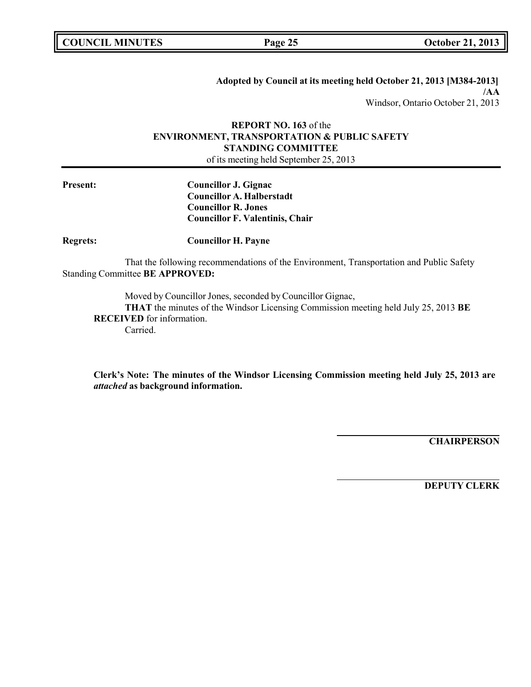**Adopted by Council at its meeting held October 21, 2013 [M384-2013] /AA** Windsor, Ontario October 21, 2013

### **REPORT NO. 163** of the **ENVIRONMENT, TRANSPORTATION & PUBLIC SAFETY STANDING COMMITTEE** of its meeting held September 25, 2013

**Present: Councillor J. Gignac Councillor A. Halberstadt Councillor R. Jones Councillor F. Valentinis, Chair**

**Regrets: Councillor H. Payne**

That the following recommendations of the Environment, Transportation and Public Safety Standing Committee **BE APPROVED:**

Moved by Councillor Jones, seconded by Councillor Gignac,

**THAT** the minutes of the Windsor Licensing Commission meeting held July 25, 2013 **BE RECEIVED** for information.

Carried.

**Clerk's Note: The minutes of the Windsor Licensing Commission meeting held July 25, 2013 are** *attached* **as background information.**

**CHAIRPERSON**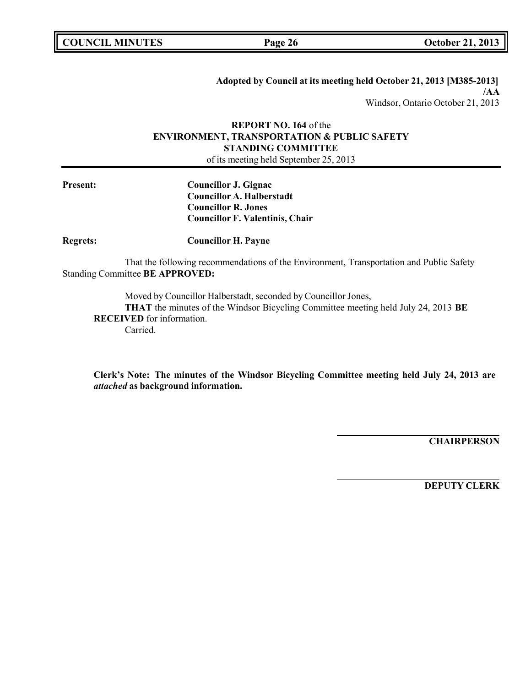**Adopted by Council at its meeting held October 21, 2013 [M385-2013] /AA** Windsor, Ontario October 21, 2013

### **REPORT NO. 164** of the **ENVIRONMENT, TRANSPORTATION & PUBLIC SAFETY STANDING COMMITTEE** of its meeting held September 25, 2013

**Present: Councillor J. Gignac Councillor A. Halberstadt Councillor R. Jones Councillor F. Valentinis, Chair**

**Regrets: Councillor H. Payne**

That the following recommendations of the Environment, Transportation and Public Safety Standing Committee **BE APPROVED:**

Moved by Councillor Halberstadt, seconded by Councillor Jones,

**THAT** the minutes of the Windsor Bicycling Committee meeting held July 24, 2013 **BE RECEIVED** for information.

Carried.

**Clerk's Note: The minutes of the Windsor Bicycling Committee meeting held July 24, 2013 are** *attached* **as background information.**

**CHAIRPERSON**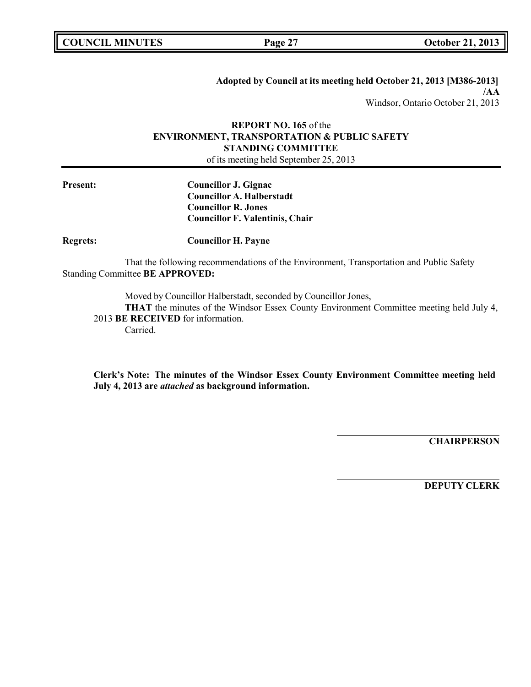**Adopted by Council at its meeting held October 21, 2013 [M386-2013] /AA** Windsor, Ontario October 21, 2013

### **REPORT NO. 165** of the **ENVIRONMENT, TRANSPORTATION & PUBLIC SAFETY STANDING COMMITTEE** of its meeting held September 25, 2013

**Present: Councillor J. Gignac Councillor A. Halberstadt Councillor R. Jones Councillor F. Valentinis, Chair**

**Regrets: Councillor H. Payne**

That the following recommendations of the Environment, Transportation and Public Safety Standing Committee **BE APPROVED:**

Moved by Councillor Halberstadt, seconded by Councillor Jones,

**THAT** the minutes of the Windsor Essex County Environment Committee meeting held July 4, 2013 **BE RECEIVED** for information.

Carried.

**Clerk's Note: The minutes of the Windsor Essex County Environment Committee meeting held July 4, 2013 are** *attached* **as background information.**

**CHAIRPERSON**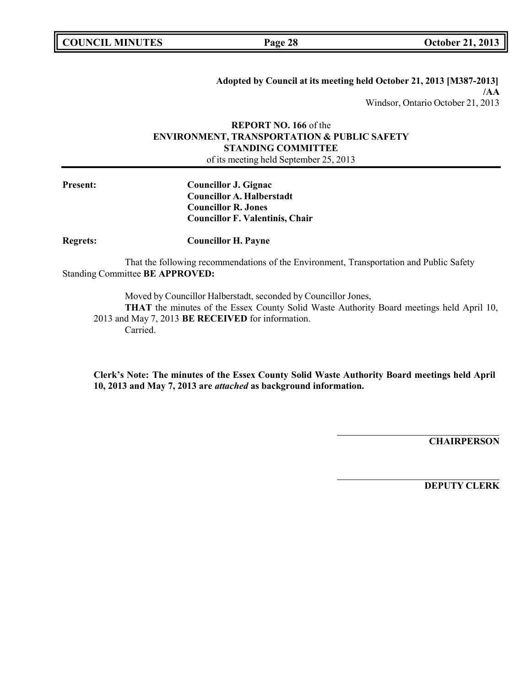**Adopted by Council at its meeting held October 21, 2013 [M387-2013] /AA** Windsor, Ontario October 21, 2013

### **REPORT NO. 166** of the **ENVIRONMENT, TRANSPORTATION & PUBLIC SAFETY STANDING COMMITTEE** of its meeting held September 25, 2013

**Present: Councillor J. Gignac Councillor A. Halberstadt Councillor R. Jones Councillor F. Valentinis, Chair**

**Regrets: Councillor H. Payne**

That the following recommendations of the Environment, Transportation and Public Safety Standing Committee **BE APPROVED:**

Moved by Councillor Halberstadt, seconded by Councillor Jones,

**THAT** the minutes of the Essex County Solid Waste Authority Board meetings held April 10, 2013 and May 7, 2013 **BE RECEIVED** for information. Carried.

**Clerk's Note: The minutes of the Essex County Solid Waste Authority Board meetings held April 10, 2013 and May 7, 2013 are** *attached* **as background information.**

**CHAIRPERSON**